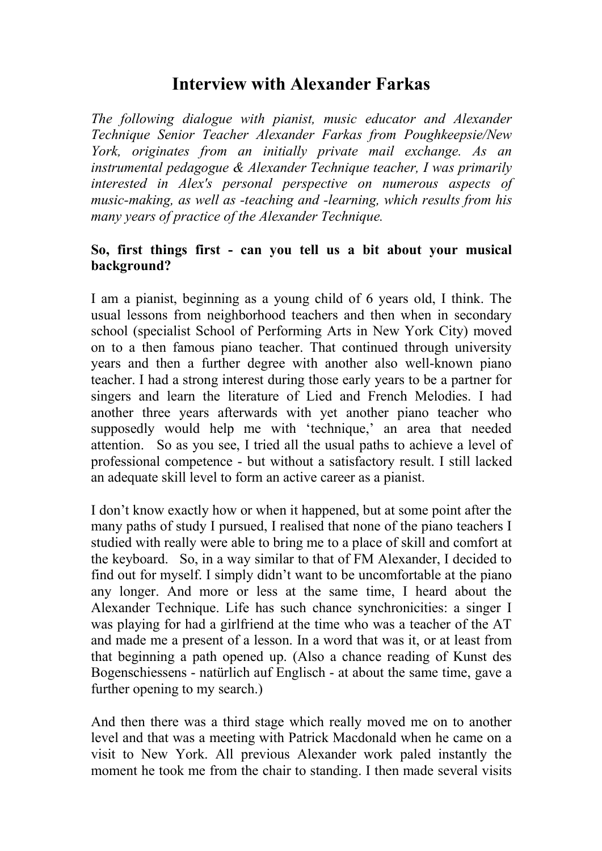# **Interview with Alexander Farkas**

*The following dialogue with pianist, music educator and Alexander Technique Senior Teacher Alexander Farkas from Poughkeepsie/New York, originates from an initially private mail exchange. As an instrumental pedagogue & Alexander Technique teacher, I was primarily interested in Alex's personal perspective on numerous aspects of music-making, as well as -teaching and -learning, which results from his many years of practice of the Alexander Technique.*

#### **So, first things first - can you tell us a bit about your musical background?**

I am a pianist, beginning as a young child of 6 years old, I think. The usual lessons from neighborhood teachers and then when in secondary school (specialist School of Performing Arts in New York City) moved on to a then famous piano teacher. That continued through university years and then a further degree with another also well-known piano teacher. I had a strong interest during those early years to be a partner for singers and learn the literature of Lied and French Melodies. I had another three years afterwards with yet another piano teacher who supposedly would help me with 'technique,' an area that needed attention. So as you see, I tried all the usual paths to achieve a level of professional competence - but without a satisfactory result. I still lacked an adequate skill level to form an active career as a pianist.

I don't know exactly how or when it happened, but at some point after the many paths of study I pursued, I realised that none of the piano teachers I studied with really were able to bring me to a place of skill and comfort at the keyboard. So, in a way similar to that of FM Alexander, I decided to find out for myself. I simply didn't want to be uncomfortable at the piano any longer. And more or less at the same time, I heard about the Alexander Technique. Life has such chance synchronicities: a singer I was playing for had a girlfriend at the time who was a teacher of the AT and made me a present of a lesson. In a word that was it, or at least from that beginning a path opened up. (Also a chance reading of Kunst des Bogenschiessens - natürlich auf Englisch - atabout the same time, gave a further opening to my search.)

And then there was a third stage which really moved me on to another level and that was a meeting with Patrick Macdonald when he came on a visit to New York. All previous Alexander work paled instantly the moment he took me from the chair to standing. I then made several visits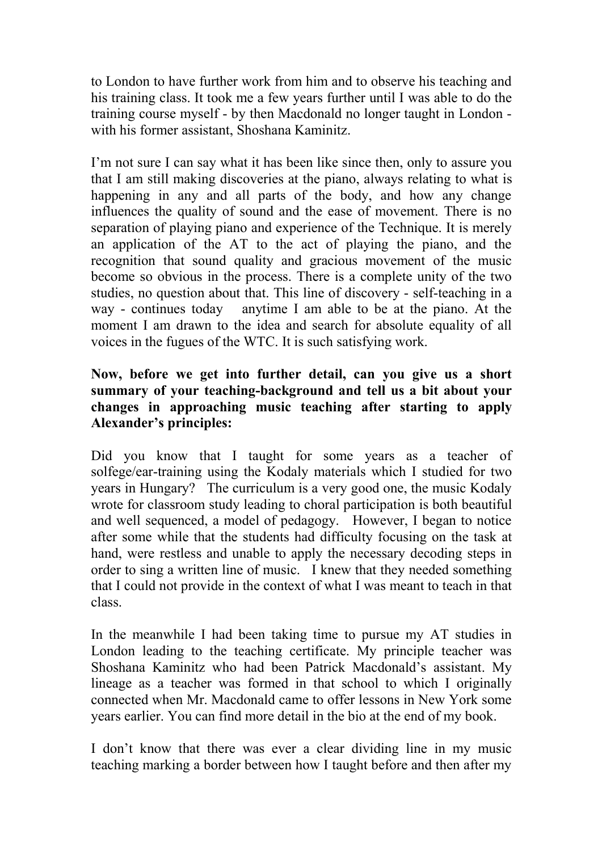to London to have further work from him and to observe his teaching and his training class. It took me a few years further until I was able to do the training course myself - by then Macdonald no longer taught in London with his former assistant, Shoshana Kaminitz.

I'm not sure I can say what it has been like since then, only to assure you that I am still making discoveries at the piano, always relating to what is happening in any and all parts of the body, and how any change influences the quality of sound and the ease of movement. There is no separation of playing piano and experience of the Technique. It is merely an application of the AT to the act of playing the piano, and the recognition that sound quality and gracious movement of the music become so obvious in the process. There is a complete unity of the two studies, no question about that. This line of discovery - self-teaching in a way - continues today anytime I am able to be at the piano. At the moment I am drawn to the idea and search for absolute equality of all voices in the fugues of the WTC. It is such satisfying work.

# **Now, before we get into further detail, can you give us a short summary of your teaching-background and tell us a bit about your changes in approaching music teaching after starting to apply Alexander's principles:**

Did you know that I taught for some years as a teacher of solfege/ear-training using the Kodaly materials which I studied for two years in Hungary? The curriculum is a very good one, the music Kodaly wrote for classroom study leading to choral participation is both beautiful and well sequenced, a model of pedagogy. However, I began to notice after some while that the students had difficulty focusing on the task at hand, were restless and unable to apply the necessary decoding steps in order to sing a written line of music. I knew that they needed something that I could not provide in the context of what I was meant to teach in that class.

In the meanwhile I had been taking time to pursue my AT studies in London leading to the teaching certificate. My principle teacher was Shoshana Kaminitz who had been Patrick Macdonald's assistant. My lineage as a teacher was formed in that school to which I originally connected when Mr. Macdonald came to offer lessons in New York some years earlier. You can find more detail in the bio at the end of my book.

I don't know that there was ever a clear dividing line in my music teaching marking a border between how I taught before and then after my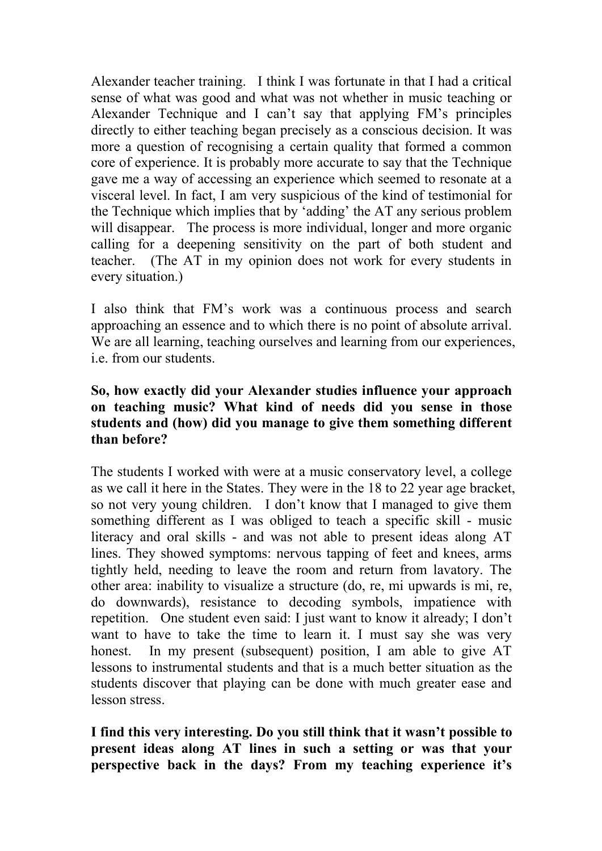Alexander teacher training. I think I was fortunate in that I had a critical sense of what was good and what was not whether in music teaching or Alexander Technique and I can't say that applying FM's principles directly to either teaching began precisely as a conscious decision. It was more a question of recognising a certain quality that formed a common core of experience. It is probably more accurate to say that the Technique gave me a way of accessing an experience which seemed to resonate at a visceral level. In fact, I am very suspicious of the kind of testimonial for the Technique which implies that by 'adding' the AT any serious problem will disappear. The process is more individual, longer and more organic calling for a deepening sensitivity on the part of both student and teacher. (The AT in my opinion does not work for every students in every situation.)

I also think that FM's work was a continuous process and search approaching an essence and to which there is no point of absolute arrival. We are all learning, teaching ourselves and learning from our experiences, i.e. from our students.

# **So, how exactly did your Alexander studies influence your approach on teaching music? What kind of needs did you sense in those students and (how) did you manage to give them something different than before?**

The students I worked with were at a music conservatory level, a college as we call it here in the States. They were in the 18 to 22 year age bracket, so not very young children. I don't know that I managed to give them something different as I was obliged to teach a specific skill - music literacy and oral skills - and was not able to present ideas along AT lines. They showed symptoms: nervous tapping of feet and knees, arms tightly held, needing to leave the room and return from lavatory. The other area: inability to visualize a structure (do, re, mi upwards is mi, re, do downwards), resistance to decoding symbols, impatience with repetition. One student even said: I just want to know it already; I don't want to have to take the time to learn it. I must say she was very honest. In my present (subsequent) position, I am able to give AT lessons to instrumental students and that is a much better situation as the students discover that playing can be done with much greater ease and lesson stress.

**I find this very interesting. Do you still think that it wasn't possible to present ideas along AT lines in such a setting or was that your perspective back in the days? From my teaching experience it's**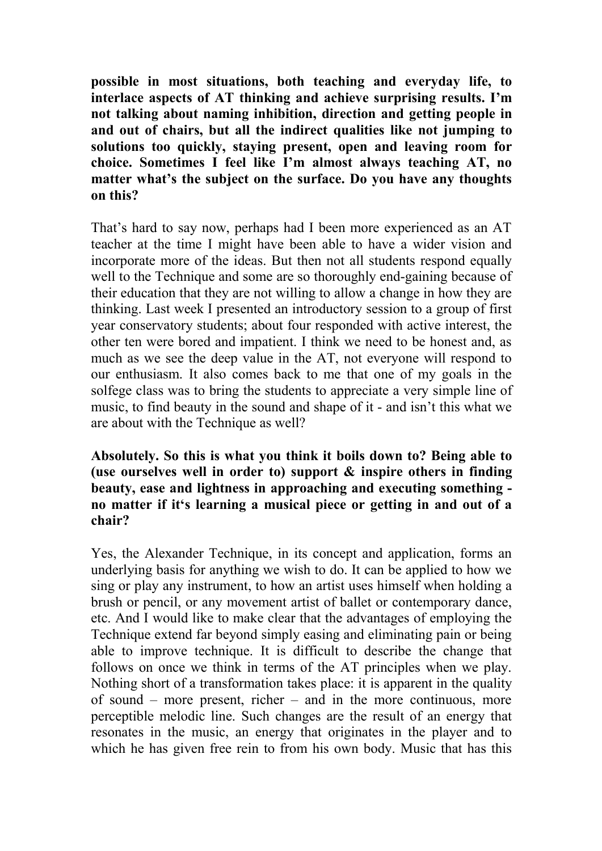**possible in most situations, both teaching and everyday life, to interlace aspects of AT thinking and achieve surprising results. I'm not talking about naming inhibition,direction and getting people in and out of chairs, but all the indirect qualities like not jumping to solutions too quickly, staying present, open and leaving room for choice. Sometimes I feel like I'm almost always teaching AT, no matter what's the subject on the surface.Do you have any thoughts on this?**

That's hard to say now, perhaps had I been more experienced as an AT teacher at the time I might have been able to have a wider vision and incorporate more of the ideas. But then not all students respond equally well to the Technique and some are so thoroughly end-gaining because of their education that they are not willing to allow a change in how they are thinking. Last week I presented an introductory session to a group of first year conservatory students; about four responded with active interest, the other ten were bored and impatient. I think we need to be honest and, as much as we see the deep value in the AT, not everyone will respond to our enthusiasm. It also comes back to me that one of my goals in the solfege class was to bring the students to appreciate a very simple line of music, to find beauty in the sound and shape of it - and isn't this what we are about with the Technique as well?

#### **Absolutely. So this is what you think it boils down to? Being able to (use ourselves well in order to) support & inspire others in finding beauty, ease and lightness in approaching and executing something no matter if it's learning a musical piece or getting in and out of a chair?**

Yes, the Alexander Technique, in its concept and application, forms an underlying basis for anything we wish to do. It can be applied to how we sing or play any instrument, to how an artist uses himself when holding a brush or pencil, or any movement artist of ballet or contemporary dance, etc. And I would like to make clear that the advantages of employing the Technique extend far beyond simply easing and eliminating pain or being able to improve technique. It is difficult to describe the change that follows on once we think in terms of the AT principles when we play. Nothing short of a transformation takes place: it is apparent in the quality of sound – more present, richer – and in the more continuous, more perceptible melodic line. Such changes are the result of an energy that resonates in the music, an energy that originates in the player and to which he has given free rein to from his own body. Music that has this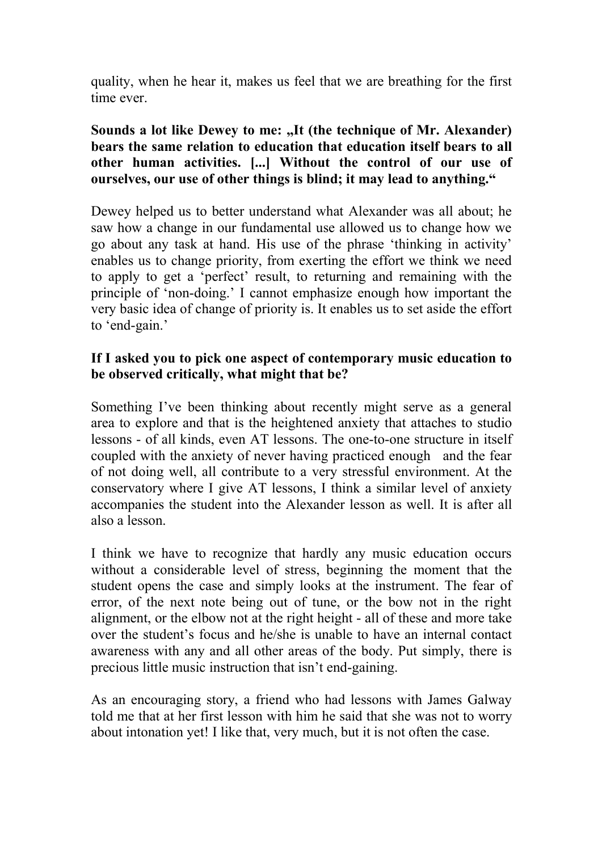quality, when he hear it, makes us feel that we are breathing for the first time ever.

#### **Sounds a lot like Dewey to me: "It (the technique of Mr. Alexander) bears the same relation to education that education itself bears to all other human activities. [...] Without the control of our use of ourselves, our use of other things is blind; it may lead to anything."**

Dewey helped us to better understand what Alexander was all about; he saw how a change in our fundamental use allowed us to change how we go about any task at hand. His use of the phrase 'thinking in activity' enables us to change priority, from exerting the effort we think we need to apply to get a 'perfect' result, to returning and remaining with the principle of 'non-doing.' I cannot emphasize enough how important the very basic idea of change of priority is. It enables us to set aside the effort to 'end-gain.'

## **If I asked you to pick one aspect of contemporary music education to be observed critically, what might that be?**

Something I've been thinking about recently might serve as a general area to explore and that is the heightened anxiety that attaches to studio lessons - of all kinds, even AT lessons. The one-to-one structure in itself coupled with the anxiety of never having practiced enough and the fear of not doing well, all contribute to a very stressful environment. At the conservatory where I give AT lessons, I think a similar level of anxiety accompanies the student into the Alexander lesson as well. It is after all also a lesson.

I think we have to recognize that hardly any music education occurs without a considerable level of stress, beginning the moment that the student opens the case and simply looks at the instrument. The fear of error, of the next note being out of tune, or the bow not in the right alignment, or the elbow not at the right height - all of these and more take over the student's focus and he/she is unable to have an internal contact awareness with any and all other areas of the body. Put simply, there is precious little music instruction that isn't end-gaining.

As an encouraging story, a friend who had lessons with James Galway told me that at her first lesson with him he said that she was not to worry about intonation yet! I like that, very much, but it is not often the case.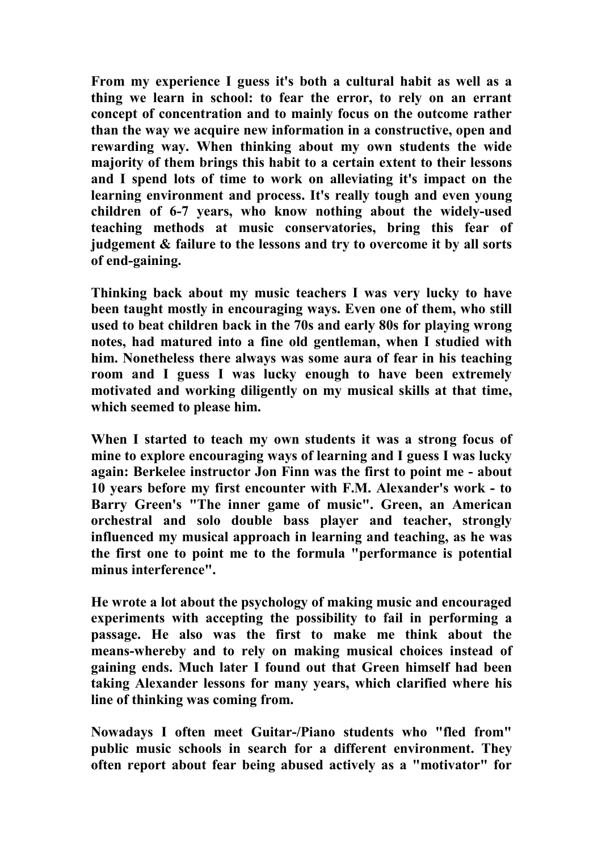**From my experience I guess it's both a cultural habit as wellas a thing we learn in school: to fear the error, to rely on an errant concept of concentration and to mainly focus on the outcome rather than the way we acquire new information in a constructive, open and rewarding way. When thinking about my own students the wide majority of them brings this habit to a certain extent to their lessons and I spend lots of time to work on alleviating it's impact on the learning environment and process. It's really tough and even young children of 6-7 years, who know nothing about the widely-used teaching methods at music conservatories, bring this fear of judgement & failure to the lessons and try to overcome it by all sorts of end-gaining.**

**Thinking back about my music teachers I was very lucky to have been taught mostly in encouraging ways. Even one of them, who still used tobeat children back in the 70s and early 80s for playing wrong notes, had matured into a fine old gentleman, when I studied with him. Nonetheless there always was some aura of fear in his teaching room and I guess I was lucky enough to have been extremely motivated and working diligently on my musicalskills at that time, which seemed toplease him.**

**When I started to teach my own students it was a strong focus of mine** to explore encouraging ways of learning and I guess I was lucky **again: Berkelee instructor Jon Finn was the firstto point me - about 10 years before my first encounter with F.M. Alexander's work - to Barry Green's "The inner game of music". Green, an American orchestral and solo double bass player and teacher, strongly influenced my musical approach in learning and teaching, as he was the first one to point me to the formula "performance is potential minus interference".**

**He wrote a lot about the psychology of making music and encouraged experiments with accepting the possibility to fail in performing a passage. He also was the first to make me think about the means-whereby and to rely on making musical choices instead of gaining ends. Much later Ifound out that Green himself had been taking Alexander lessons for many years, which clarified where his line of thinking was coming from.**

**Nowadays I often meet Guitar-/Piano students who "fled from" public music schools in search for a different environment. They often report about fear being abused actively as a "motivator" for**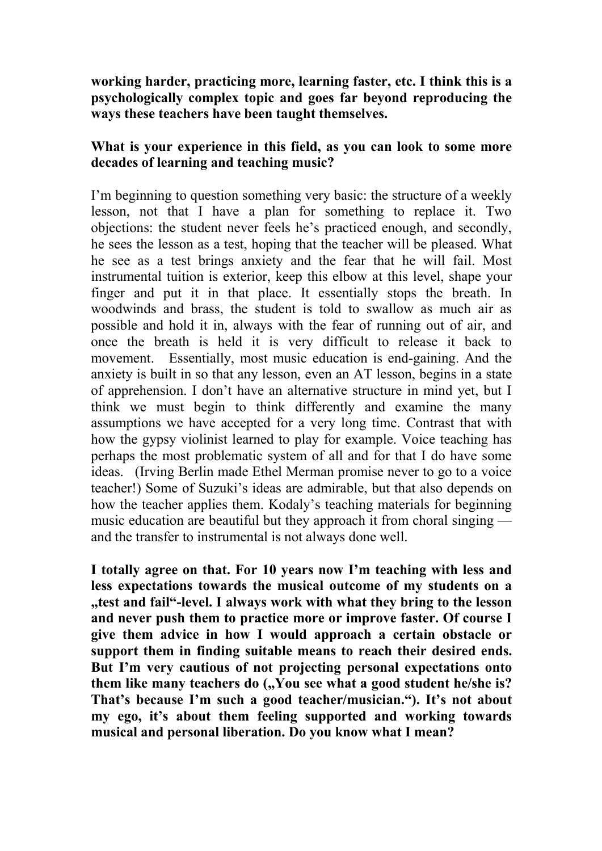**working harder, practicing more, learning faster, etc. I think this is a psychologically complex topic and goes far beyond reproducing the ways these teachers have been taught themselves.**

# **What is your experience in this field, as you can look to some more decades oflearning and teaching music?**

I'm beginning to question something very basic: the structure of a weekly lesson, not that I have a plan for something to replace it. Two objections: the student never feels he's practiced enough, and secondly, he sees the lesson as a test, hoping that the teacher will be pleased. What he see as a test brings anxiety and the fear that he will fail. Most instrumental tuition is exterior, keep this elbow at this level, shape your finger and put it in that place. It essentially stops the breath. In woodwinds and brass, the student is told to swallow as much air as possible and hold it in, always with the fear of running out of air, and once the breath is held it is very difficult to release it back to movement. Essentially, most music education is end-gaining. And the anxiety is built in so that any lesson, even an AT lesson, begins in a state of apprehension. I don't have an alternative structure in mind yet, but I think we must begin to think differently and examine the many assumptions we have accepted for a very long time. Contrast that with how the gypsy violinist learned to play for example. Voice teaching has perhaps the most problematic system of all and for that I do have some ideas. (Irving Berlin made Ethel Merman promise never to go to a voice teacher!) Some of Suzuki's ideas are admirable, but that also depends on how the teacher applies them. Kodaly's teaching materials for beginning music education are beautiful but they approach it from choral singing and the transfer to instrumental is not always done well.

**I totally agree on that. For 10 years now I'm teaching with less and less expectations towards the musical outcome of my students on a "test and fail"-level. I always work with what they bring to the lesson and never push them to practice more or improve faster. Of course I give them advice in how I would approach a certain obstacle or support them in finding suitable means to reach their desired ends. But I'm very cautious of not projecting personal expectations onto them like many teachers do ("You see what a good student he/she is? That's because I'm such a good teacher/musician."). It's not about my ego, it's about them feeling supported and working towards musical and personal liberation. Do you know what I mean?**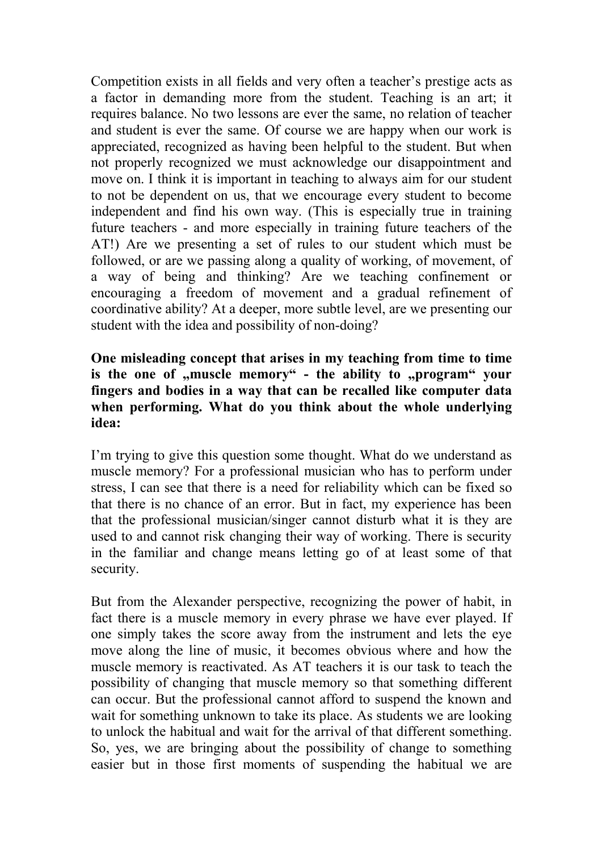Competition exists in all fields and very often a teacher's prestige acts as a factor in demanding more from the student. Teaching is an art; it requires balance. No two lessons are ever the same, no relation of teacher and student is ever the same. Of course we are happy when our work is appreciated, recognized as having been helpful to the student. But when not properly recognized we must acknowledge our disappointment and move on. I think it is important in teaching to always aim for our student to not be dependent on us, that we encourage every student to become independent and find his own way. (This is especially true in training future teachers - and more especially in training future teachers of the AT!) Are we presenting a set of rules to our student which must be followed, or are we passing along a quality of working, of movement, of a way of being and thinking? Are we teaching confinement or encouraging a freedom of movement and a gradual refinement of coordinative ability? At a deeper, more subtle level, are we presenting our student with the idea and possibility of non-doing?

#### **One misleading concept that arises in my teaching from time to time is the one of "muscle memory" - the ability to "program" your fingers and bodies in a way that can be recalled like computer data when performing. What do you think about the whole underlying idea:**

I'm trying to give this question some thought. What do we understand as muscle memory? For a professional musician who has to perform under stress, I can see that there is a need for reliability which can be fixed so that there is no chance of an error. But in fact, my experience has been that the professional musician/singer cannot disturb what it is they are used to and cannot risk changing their way of working. There is security in the familiar and change means letting go of at least some of that security.

But from the Alexander perspective, recognizing the power of habit, in fact there is a muscle memory in every phrase we have ever played. If one simply takes the score away from the instrument and lets the eye move along the line of music, it becomes obvious where and how the muscle memory is reactivated. As AT teachers it is our task to teach the possibility of changing that muscle memory so that something different can occur. But the professional cannot afford to suspend the known and wait for something unknown to take its place. As students we are looking to unlock the habitual and wait for the arrival of that different something. So, yes, we are bringing about the possibility of change to something easier but in those first moments of suspending the habitual we are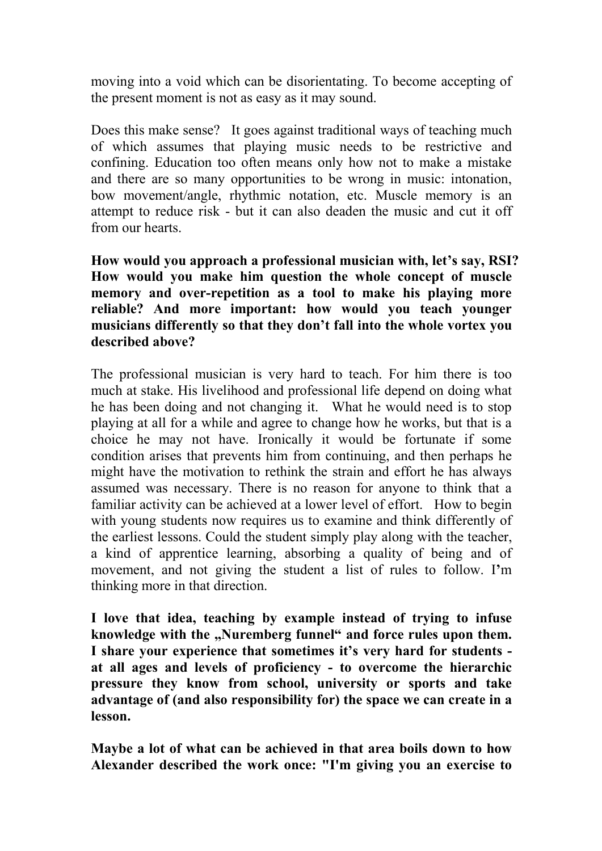moving into a void which can be disorientating. To become accepting of the present moment is not as easy as it may sound.

Does this make sense? It goes against traditional ways of teaching much of which assumes that playing music needs to be restrictive and confining. Education too often means only how not to make a mistake and there are so many opportunities to be wrong in music: intonation, bow movement/angle, rhythmic notation, etc. Muscle memory is an attempt to reduce risk - but it can also deaden the music and cut it off from our hearts.

**How would you approach a professional musician with, let's say, RSI? How would you make him question the whole concept of muscle memory and over-repetition as a tool to make his playing more reliable? And more important: how would you teach younger musicians** differently so that they don't fall into the whole vortex you **described above?**

The professional musician is very hard to teach. For him there is too much at stake. His livelihood and professional life depend on doing what he has been doing and not changing it. What he would need is to stop playing at all for a while and agree to change how he works, but that is a choice he may not have. Ironically it would be fortunate if some condition arises that prevents him from continuing, and then perhaps he might have the motivation to rethink the strain and effort he has always assumed was necessary. There is no reason for anyone to think that a familiar activity can be achieved at a lower level of effort. How to begin with young students now requires us to examine and think differently of the earliest lessons. Could the student simply play along with the teacher, a kind of apprentice learning, absorbing a quality of being and of movement, and not giving the student a list of rules to follow. I**'**m thinking more in that direction.

**I love that idea, teaching by example instead of trying to infuse knowledge with the "Nuremberg funnel" and force rules upon them.** I share your experience that sometimes it's very hard for students **at all ages and levels of proficiency - to overcome the hierarchic pressure they know from school, university or sports and take advantage of (and also responsibility for) the space we can create in a lesson.**

**Maybe a lot of what can be achieved in that area boils down to how Alexander described the work once: "I'm giving you an exercise to**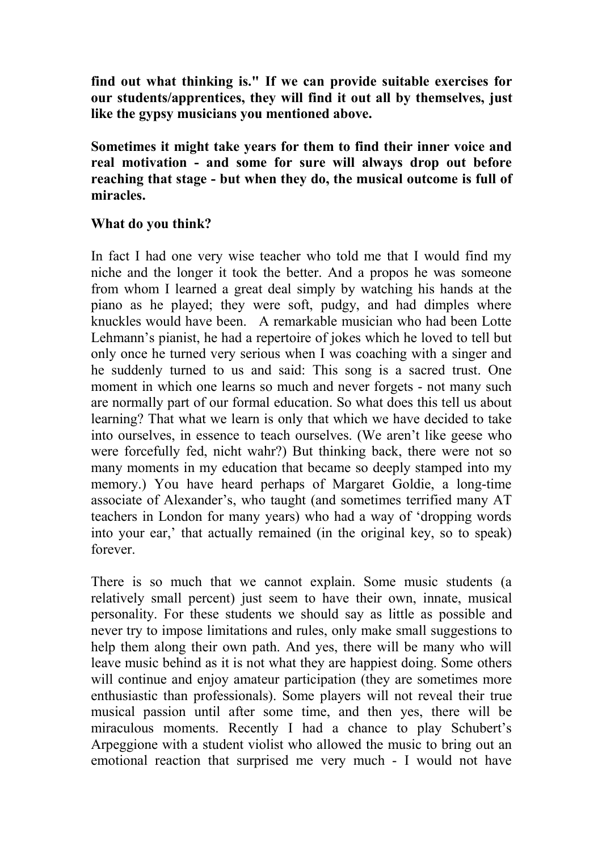**find out whatthinking is." If we can provide suitable exercises for our students/apprentices, they will find it out all by themselves, just like the gypsy musicians you mentioned above.**

**Sometimes it might take years for them to find their inner voice and real motivation - and some for sure will always drop out before reaching that stage - but when they do, the musical outcome is full of miracles.**

## **What do you think?**

In fact I had one very wise teacher who told me that I would find my niche and the longer it took the better. And a propos he was someone from whom I learned a great deal simply by watching his hands at the piano as he played; they were soft, pudgy, and had dimples where knuckles would have been. A remarkable musician who had been Lotte Lehmann's pianist, he had a repertoire of jokes which he loved to tell but only once he turned very serious when I was coaching with a singer and he suddenly turned to us and said: This song is a sacred trust. One moment in which one learns so much and never forgets - not many such are normally part of our formal education. So what does this tell us about learning? That what we learn is only that which we have decided to take into ourselves, in essence to teach ourselves. (We aren't like geese who were forcefully fed, nicht wahr?) But thinking back, there were not so many moments in my education that became so deeply stamped into my memory.) You have heard perhaps of Margaret Goldie, a long-time associate of Alexander's, who taught (and sometimes terrified many AT teachers in London for many years) who had a way of 'dropping words into your ear,' that actually remained (in the original key, so to speak) forever.

There is so much that we cannot explain. Some music students (a relatively small percent) just seem to have their own, innate, musical personality. For these students we should say as little as possible and never try to impose limitations and rules, only make small suggestions to help them along their own path. And yes, there will be many who will leave music behind as it is not what they are happiest doing. Some others will continue and enjoy amateur participation (they are sometimes more enthusiastic than professionals). Some players will not reveal their true musical passion until after some time, and then yes, there will be miraculous moments. Recently I had a chance to play Schubert's Arpeggione with a student violist who allowed the music to bring out an emotional reaction that surprised me very much - I would not have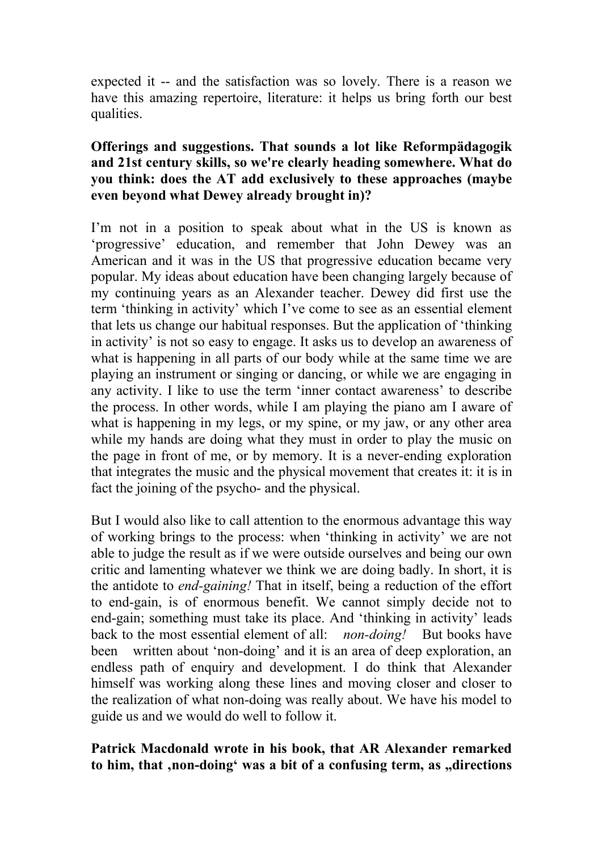expected it -- and the satisfaction was so lovely. There is a reason we have this amazing repertoire, literature: it helps us bring forth our best qualities.

### **Offerings and suggestions. That sounds a lot like Reformpädagogik and 21st century skills, so we're clearly heading somewhere. What do you think: does the AT add exclusively to these approaches (maybe even beyond what Dewey already brought in)?**

I'm not in a position to speak about what in the US is known as 'progressive' education, and remember that John Dewey was an American and it was in the US that progressive education became very popular. My ideas about education have been changing largely because of my continuing years as an Alexander teacher. Dewey did first use the term 'thinking in activity' which I've come to see as an essential element that lets us change our habitual responses. But the application of 'thinking in activity' is not so easy to engage. It asks us to develop an awareness of what is happening in all parts of our body while at the same time we are playing an instrument or singing or dancing, or while we are engaging in any activity. I like to use the term 'inner contact awareness' to describe the process. In other words, while I am playing the piano am I aware of what is happening in my legs, or my spine, or my jaw, or any other area while my hands are doing what they must in order to play the music on the page in front of me, or by memory. It is a never-ending exploration that integrates the music and the physical movement that creates it: it is in fact the joining of the psycho- and the physical.

But I would also like to call attention to the enormous advantage this way of working brings to the process: when 'thinking in activity' we are not able to judge the result as if we were outside ourselves and being our own critic and lamenting whatever we think we are doing badly. In short, it is the antidote to *end-gaining!* That in itself, being a reduction of the effort to end-gain, is of enormous benefit. We cannot simply decide not to end-gain; something must take its place. And 'thinking in activity' leads back to the most essential element of all: *non-doing!* But books have been written about 'non-doing' and it is an area of deep exploration, an endless path of enquiry and development. I do think that Alexander himself was working along these lines and moving closer and closer to the realization of what non-doing was really about. We have his model to guide us and we would do well to follow it.

## **Patrick Macdonald wrote in his book, that AR Alexander remarked to him, that 'non-doing' was a bit of a confusing term, as "directions**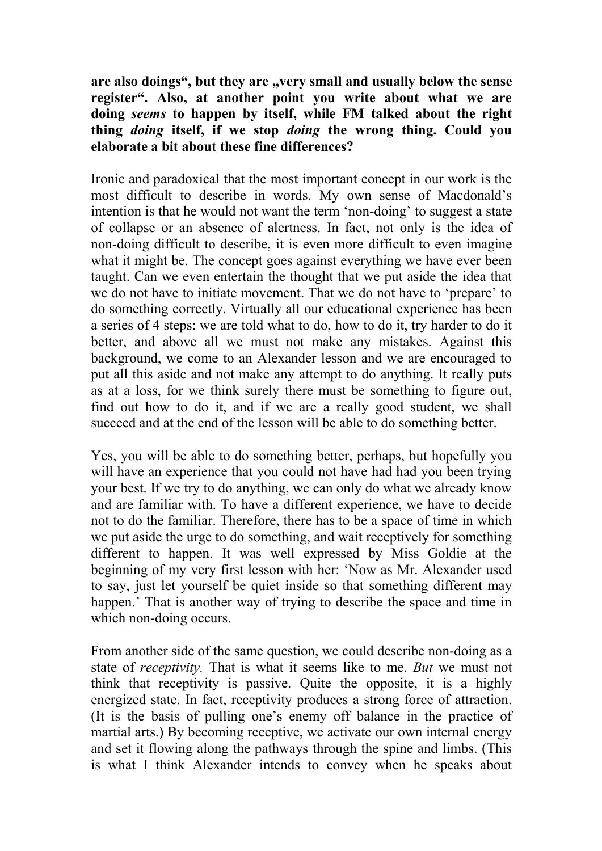**are also doings" , but they are "very small and usually below the sense register". Also, at another point you write about what we are doing** *seems* **to happen by itself, while FM talked about the right thing** *doing* **itself, if we stop** *doing* **the wrong thing. Could you elaborate a bit about these fine differences?**

Ironic and paradoxical that the most important concept in our work is the most difficult to describe in words. My own sense of Macdonald's intention is that he would not want the term 'non-doing' to suggest a state of collapse or an absence of alertness. In fact, not only is the idea of non-doing difficult to describe, it is even more difficult to even imagine what it might be. The concept goes against everything we have ever been taught. Can we even entertain the thought that we put aside the idea that we do not have to initiate movement. That we do not have to 'prepare' to do something correctly. Virtually all our educational experience has been a series of 4 steps: we are told what to do, how to do it, try harder to do it better, and above all we must not make any mistakes. Against this background, we come to an Alexander lesson and we are encouraged to put all this aside and not make any attempt to do anything. It really puts as at a loss, for we think surely there must be something to figure out, find out how to do it, and if we are a really good student, we shall succeed and at the end of the lesson will be able to do something better.

Yes, you will be able to do something better, perhaps, but hopefully you will have an experience that you could not have had had you been trying your best. If we try to do anything, we can only do what we already know and are familiar with. To have a different experience, we have to decide not to do the familiar.Therefore, there has to be a space of time in which we put aside the urge to do something, and wait receptively for something different to happen. It was well expressed by Miss Goldie at the beginning of my very first lesson with her: 'Now as Mr. Alexander used to say, just let yourself be quiet inside so that something different may happen.' That is another way of trying to describe the space and time in which non-doing occurs.

From another side of the same question, we could describe non-doing as a state of *receptivity.* That is what it seems like to me. *But* we must not think that receptivity is passive. Quite the opposite, it is a highly energized state. In fact, receptivity produces a strong force of attraction. (It is the basis of pulling one's enemy off balance in the practice of martial arts.) By becoming receptive, we activate our own internal energy and set it flowing along the pathways through the spine and limbs. (This is what I think Alexander intends to convey when he speaks about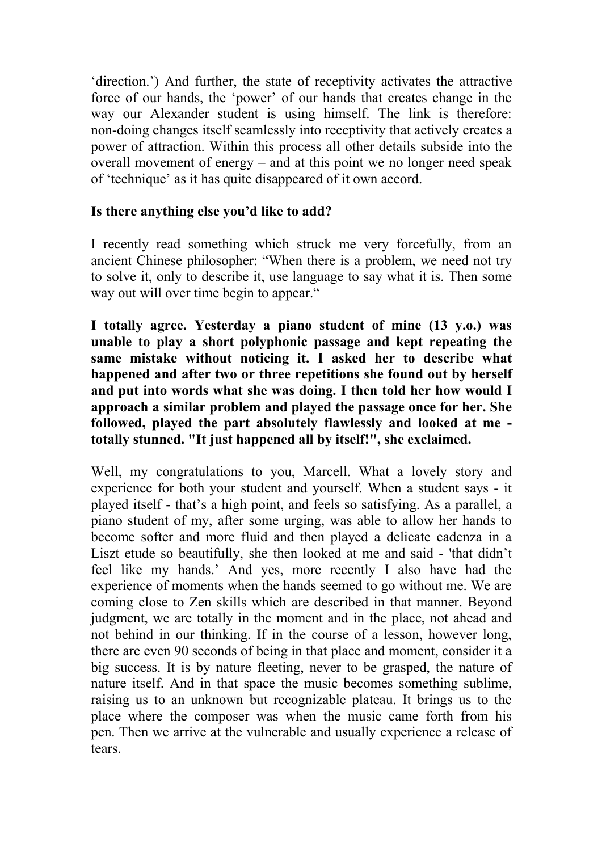'direction.') And further, the state of receptivity activates the attractive force of our hands, the 'power' of our hands that creates change in the way our Alexander student is using himself. The link is therefore: non-doing changes itself seamlessly into receptivity that actively creates a power of attraction. Within this process all other details subside into the overall movement of energy – and at this point we no longer need speak of 'technique' as it has quite disappeared of it own accord.

# **Is there anything else you'd like to add?**

I recently read something which struck me very forcefully, from an ancient Chinese philosopher: "When there is a problem, we need not try to solve it, only to describe it, use language to say what it is. Then some way out will over time begin to appear."

**I totally agree. Yesterday a piano student of mine (13 y.o.) was unable to play a short polyphonic passage and kept repeating the same mistake without noticing it. I asked her to describe what happened and after two or three repetitions she found out by herself and put into words what she was doing. I then told her how would I approach a similar problem and played the passage once for her. She followed, played the part absolutely flawlessly and looked at me totally stunned. "It just happened all by itself!" , she exclaimed.**

Well, my congratulations to you, Marcell. What a lovely story and experience for both your student and yourself. When a student says - it played itself - that's a high point, and feels so satisfying. As a parallel, a piano student of my, after some urging, was able to allow her hands to become softer and more fluid and then played a delicate cadenza in a Liszt etude so beautifully, she then looked at me and said - 'that didn't feel like my hands.' And yes, more recently I also have had the experience of moments when the hands seemed to go without me. We are coming close to Zen skills which are described in that manner. Beyond judgment, we are totally in the moment and in the place, not ahead and not behind in our thinking. If in the course of a lesson, however long, there are even 90 seconds of being in that place and moment, consider it a big success. It is by nature fleeting, never to be grasped, the nature of nature itself. And in that space the music becomes something sublime, raising us to an unknown but recognizable plateau. It brings us to the place where the composer was when the music came forth from his pen. Then we arrive at the vulnerable and usually experience a release of tears.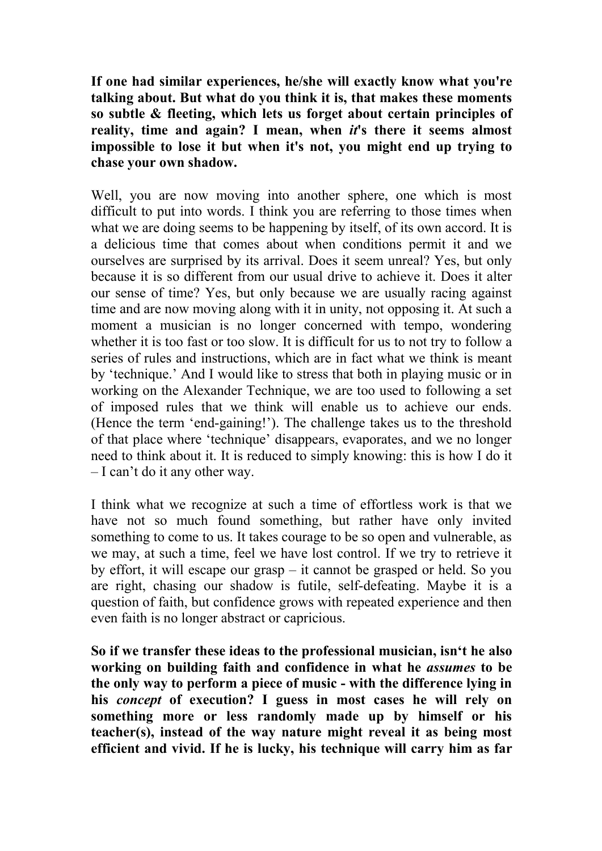**If one had similar experiences, he/she will exactly know what you're talking about. But what do you think it is, that makes these moments so subtle & fleeting, which lets us forget about certain principles of reality, time and again? I mean, when** *it***'s there it seems almost impossible to lose it but when it's not, you might end up trying to chase your own shadow.**

Well, you are now moving into another sphere, one which is most difficult to put into words. I think you are referring to those times when what we are doing seems to be happening by itself, of its own accord. It is a delicious time that comes about when conditions permit it and we ourselves are surprised by its arrival. Does it seem unreal? Yes, but only because it is so different from our usual drive to achieve it. Does it alter our sense of time? Yes, but only because we are usually racing against time and are now moving along with it in unity, not opposing it. At such a moment a musician is no longer concerned with tempo, wondering whether it is too fast or too slow. It is difficult for us to not try to follow a series of rules and instructions, which are in fact what we think is meant by 'technique.' And I would like to stress that both in playing music or in working on the Alexander Technique, we are too used to following a set of imposed rules that we think will enable us to achieve our ends. (Hence the term 'end-gaining!'). The challenge takes us to the threshold of that place where 'technique' disappears, evaporates, and we no longer need to think about it. It is reduced to simply knowing: this is how I do it – I can't do it any other way.

I think what we recognize at such a time of effortless work is that we have not so much found something, but rather have only invited something to come to us. It takes courage to be so open and vulnerable, as we may, at such a time, feel we have lost control. If we try to retrieve it by effort, it will escape our grasp – it cannot be grasped or held. So you are right, chasing our shadow is futile, self-defeating. Maybe it is a question of faith, but confidence grows with repeated experience and then even faith is no longer abstract or capricious.

**So if we transfer these ideas to the professional musician, isn't he also working on building faith and confidence in what he** *assumes* **to be the only way to perform a piece of music - with the difference lying in his** *concept* **of execution? I guess in most cases he will rely on something more or less randomly made up by himself or his teacher(s), instead of the way nature might reveal it as being most efficient and vivid. If he is lucky, his technique will carry him as far**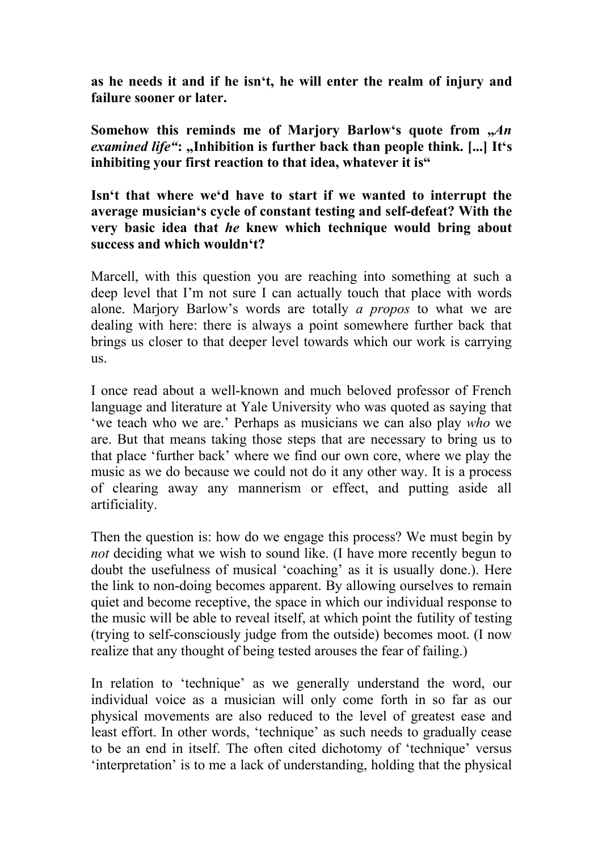**as he needs it and if he isn't, he will enter the realm of injury and**

**failure sooner** or later.<br>Somehow this reminds me of Marjory Barlow's quote from  $\mathcal{A}n$ *examined life"***: "Inhibition is further back than people think.[...] It's inhibiting your** first reaction to that **idea**, whatever it is"

#### **Isn't that where we'd have to start if we wanted to interrupt the average musician's cycle of constant testing and self-defeat? With the very basic idea that** *he* **knew which technique would bring about success and which wouldn't?**

Marcell, with this question you are reaching into something at such a deep level that I'm not sure I can actually touch that place with words alone. Marjory Barlow's words are totally *a propos* to what we are dealing with here: there is always a point somewhere further back that brings us closer to that deeper level towards which our work is carrying us.

I once read about a well-known and much beloved professor of French language and literature at Yale University who was quoted as saying that 'we teach who we are.' Perhaps as musicians we can also play *who* we are. But that means taking those steps that are necessary to bring us to that place 'further back' where we find our own core, where we play the music as we do because we could not do it any other way. It is a process of clearing away any mannerism or effect, and putting aside all artificiality.

Then the question is: how do we engage this process? We must begin by *not* deciding what we wish to sound like. (I have more recently begun to doubt the usefulness of musical 'coaching' as it is usually done.). Here the link to non-doing becomes apparent. By allowing ourselves to remain quiet and become receptive, the space in which our individual response to the music will be able to reveal itself, at which point the futility of testing (trying to self-consciously judge from the outside) becomes moot. (I now realize that any thought of being tested arouses the fear of failing.)

In relation to 'technique' as we generally understand the word, our individual voice as a musician will only come forth in so far as our physical movements are also reduced to the level of greatest ease and least effort. In other words, 'technique' as such needs to gradually cease to be an end in itself. The often cited dichotomy of 'technique' versus 'interpretation' is to me a lack of understanding, holding that the physical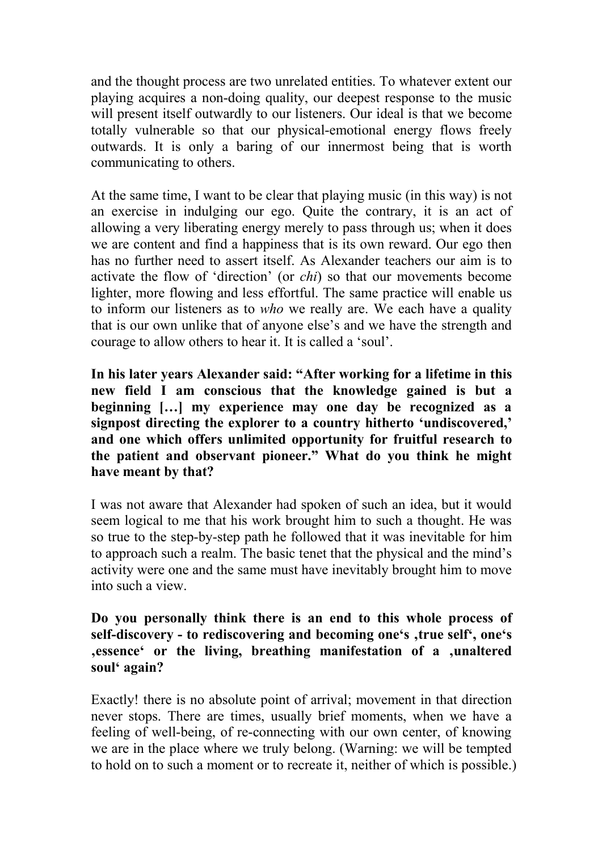and the thought process are two unrelated entities. To whatever extent our playing acquires a non-doing quality, our deepest response to the music will present itself outwardly to our listeners. Our ideal is that we become totally vulnerable so that our physical-emotional energy flows freely outwards. It is only a baring of our innermost being that is worth communicating to others.

At the same time, I want to be clear that playing music (in this way) is not an exercise in indulging our ego. Quite the contrary, it is an act of allowing a very liberating energy merely to pass through us; when it does we are content and find a happiness that is its own reward. Our ego then has no further need to assert itself. As Alexander teachers our aim is to activate the flow of 'direction' (or*chi*) so that our movements become lighter, more flowing and less effortful. The same practice will enable us to inform our listeners as to *who* we really are. We each have a quality that is our own unlike that of anyone else's and we have the strength and courage to allow others to hear it. It is called a 'soul'.

**In his later years Alexander said: "After working for a lifetime in this new field I am conscious that the knowledge gained is but a beginning […] my experience may one day be recognized as a signpost directing the explorer to a country hitherto 'undiscovered, ' and one which offers unlimited opportunity for fruitful research to the patient and observant pioneer." What do you think he might have meant by that?**

I was not aware that Alexander had spoken of such an idea, but it would seem logical to me that his work brought him to such a thought. He was so true to the step-by-step path he followed that it was inevitable for him to approach such a realm. The basic tenet that the physical and the mind's activity were one and the same must have inevitably brought him to move into such a view.

**Do you personally think there is an end to this whole process of self-discovery - to rediscovering and becoming one's 'true self' , one's 'essence' or the living, breathing manifestation of a 'unaltered soul' again?**

Exactly! there is no absolute point of arrival; movement in that direction never stops. There are times, usually brief moments, when we have a feeling of well-being, of re-connecting with our own center, of knowing we are in the place where we truly belong. (Warning: we will be tempted to hold on to such a moment or to recreate it, neither of which is possible.)